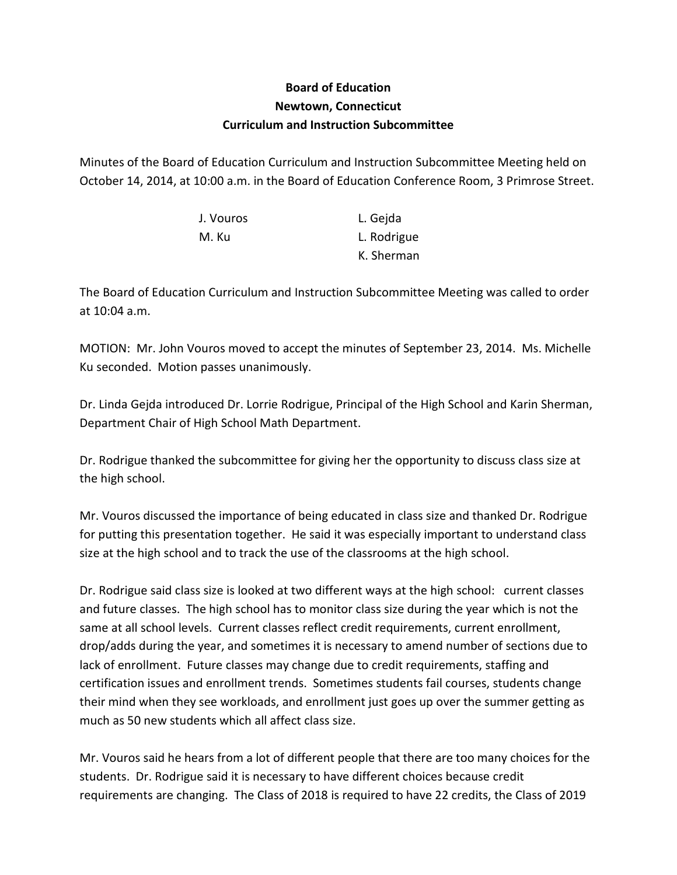## **Board of Education Newtown, Connecticut Curriculum and Instruction Subcommittee**

Minutes of the Board of Education Curriculum and Instruction Subcommittee Meeting held on October 14, 2014, at 10:00 a.m. in the Board of Education Conference Room, 3 Primrose Street.

| J. Vouros | L. Gejda    |
|-----------|-------------|
| M. Ku     | L. Rodrigue |
|           | K. Sherman  |

The Board of Education Curriculum and Instruction Subcommittee Meeting was called to order at 10:04 a.m.

MOTION: Mr. John Vouros moved to accept the minutes of September 23, 2014. Ms. Michelle Ku seconded. Motion passes unanimously.

Dr. Linda Gejda introduced Dr. Lorrie Rodrigue, Principal of the High School and Karin Sherman, Department Chair of High School Math Department.

Dr. Rodrigue thanked the subcommittee for giving her the opportunity to discuss class size at the high school.

Mr. Vouros discussed the importance of being educated in class size and thanked Dr. Rodrigue for putting this presentation together. He said it was especially important to understand class size at the high school and to track the use of the classrooms at the high school.

Dr. Rodrigue said class size is looked at two different ways at the high school: current classes and future classes. The high school has to monitor class size during the year which is not the same at all school levels. Current classes reflect credit requirements, current enrollment, drop/adds during the year, and sometimes it is necessary to amend number of sections due to lack of enrollment. Future classes may change due to credit requirements, staffing and certification issues and enrollment trends. Sometimes students fail courses, students change their mind when they see workloads, and enrollment just goes up over the summer getting as much as 50 new students which all affect class size.

Mr. Vouros said he hears from a lot of different people that there are too many choices for the students. Dr. Rodrigue said it is necessary to have different choices because credit requirements are changing. The Class of 2018 is required to have 22 credits, the Class of 2019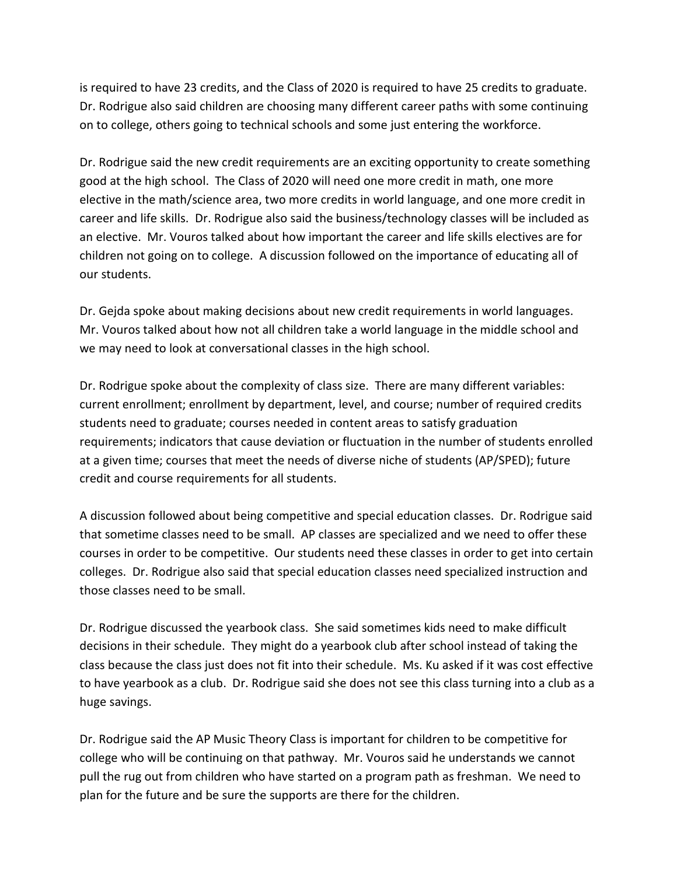is required to have 23 credits, and the Class of 2020 is required to have 25 credits to graduate. Dr. Rodrigue also said children are choosing many different career paths with some continuing on to college, others going to technical schools and some just entering the workforce.

Dr. Rodrigue said the new credit requirements are an exciting opportunity to create something good at the high school. The Class of 2020 will need one more credit in math, one more elective in the math/science area, two more credits in world language, and one more credit in career and life skills. Dr. Rodrigue also said the business/technology classes will be included as an elective. Mr. Vouros talked about how important the career and life skills electives are for children not going on to college. A discussion followed on the importance of educating all of our students.

Dr. Gejda spoke about making decisions about new credit requirements in world languages. Mr. Vouros talked about how not all children take a world language in the middle school and we may need to look at conversational classes in the high school.

Dr. Rodrigue spoke about the complexity of class size. There are many different variables: current enrollment; enrollment by department, level, and course; number of required credits students need to graduate; courses needed in content areas to satisfy graduation requirements; indicators that cause deviation or fluctuation in the number of students enrolled at a given time; courses that meet the needs of diverse niche of students (AP/SPED); future credit and course requirements for all students.

A discussion followed about being competitive and special education classes. Dr. Rodrigue said that sometime classes need to be small. AP classes are specialized and we need to offer these courses in order to be competitive. Our students need these classes in order to get into certain colleges. Dr. Rodrigue also said that special education classes need specialized instruction and those classes need to be small.

Dr. Rodrigue discussed the yearbook class. She said sometimes kids need to make difficult decisions in their schedule. They might do a yearbook club after school instead of taking the class because the class just does not fit into their schedule. Ms. Ku asked if it was cost effective to have yearbook as a club. Dr. Rodrigue said she does not see this class turning into a club as a huge savings.

Dr. Rodrigue said the AP Music Theory Class is important for children to be competitive for college who will be continuing on that pathway. Mr. Vouros said he understands we cannot pull the rug out from children who have started on a program path as freshman. We need to plan for the future and be sure the supports are there for the children.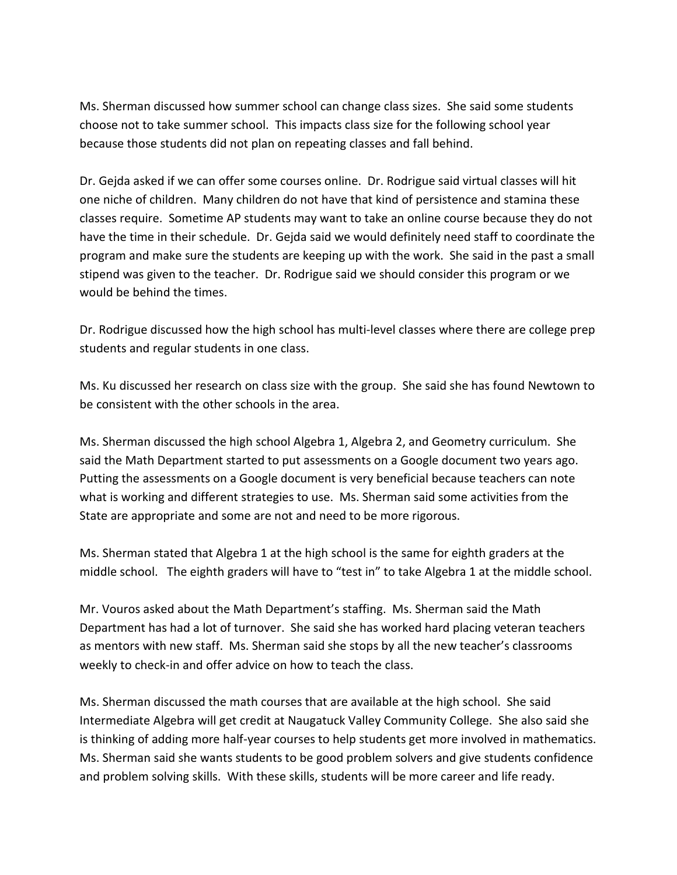Ms. Sherman discussed how summer school can change class sizes. She said some students choose not to take summer school. This impacts class size for the following school year because those students did not plan on repeating classes and fall behind.

Dr. Gejda asked if we can offer some courses online. Dr. Rodrigue said virtual classes will hit one niche of children. Many children do not have that kind of persistence and stamina these classes require. Sometime AP students may want to take an online course because they do not have the time in their schedule. Dr. Gejda said we would definitely need staff to coordinate the program and make sure the students are keeping up with the work. She said in the past a small stipend was given to the teacher. Dr. Rodrigue said we should consider this program or we would be behind the times.

Dr. Rodrigue discussed how the high school has multi-level classes where there are college prep students and regular students in one class.

Ms. Ku discussed her research on class size with the group. She said she has found Newtown to be consistent with the other schools in the area.

Ms. Sherman discussed the high school Algebra 1, Algebra 2, and Geometry curriculum. She said the Math Department started to put assessments on a Google document two years ago. Putting the assessments on a Google document is very beneficial because teachers can note what is working and different strategies to use. Ms. Sherman said some activities from the State are appropriate and some are not and need to be more rigorous.

Ms. Sherman stated that Algebra 1 at the high school is the same for eighth graders at the middle school. The eighth graders will have to "test in" to take Algebra 1 at the middle school.

Mr. Vouros asked about the Math Department's staffing. Ms. Sherman said the Math Department has had a lot of turnover. She said she has worked hard placing veteran teachers as mentors with new staff. Ms. Sherman said she stops by all the new teacher's classrooms weekly to check-in and offer advice on how to teach the class.

Ms. Sherman discussed the math courses that are available at the high school. She said Intermediate Algebra will get credit at Naugatuck Valley Community College. She also said she is thinking of adding more half-year courses to help students get more involved in mathematics. Ms. Sherman said she wants students to be good problem solvers and give students confidence and problem solving skills. With these skills, students will be more career and life ready.